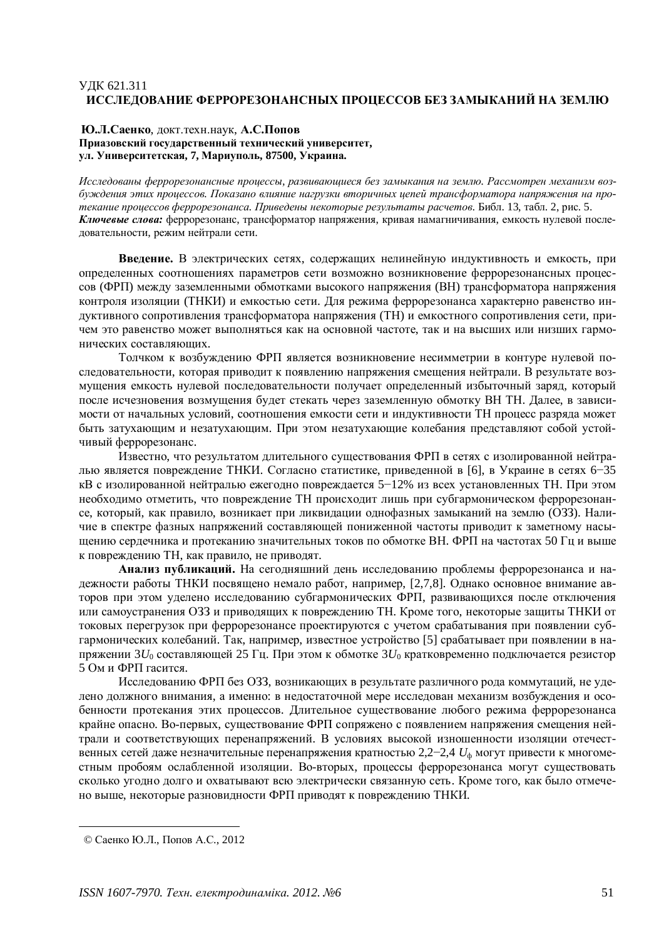# ɍȾɄ 621.311 ИССЛЕДОВАНИЕ ФЕРРОРЕЗОНАНСНЫХ ПРОЦЕССОВ БЕЗ ЗАМЫКАНИЙ НА ЗЕМЛЮ

#### **Ю.Л.Саенко**, докт.техн.наук, А.С.Попов Приазовский государственный технический университет. VЛ. Университетская, 7, Мариуполь, 87500, Украина.

Исследованы феррорезонансные процессы, развивающиеся без замыкания на землю. Рассмотрен механизм возбуждения этих проиессов. Показано влияние нагрузки вторичных иепей трансформатора напряжения на протекание процессов феррорезонанса. Приведены некоторые результаты расчетов. Библ. 13, табл. 2, рис. 5. **Ключевые слова:** феррорезонанс, трансформатор напряжения, кривая намагничивания, емкость нулевой последовательности, режим нейтрали сети.

Введение. В электрических сетях, содержащих нелинейную индуктивность и емкость, при определенных соотношениях параметров сети возможно возникновение феррорезонансных процессов (ФРП) между заземленными обмотками высокого напряжения (ВН) трансформатора напряжения контроля изоляции (ТНКИ) и емкостью сети. Для режима феррорезонанса характерно равенство индуктивного сопротивления трансформатора напряжения (ТН) и емкостного сопротивления сети, причем это равенство может выполняться как на основной частоте, так и на высших или низших гармонических составляющих.

Толчком к возбуждению ФРП является возникновение несимметрии в контуре нулевой последовательности, которая приводит к появлению напряжения смещения нейтрали. В результате возмущения емкость нулевой последовательности получает определенный избыточный заряд, который после исчезновения возмущения будет стекать через заземленную обмотку ВН ТН. Далее, в зависимости от начальных условий, соотношения емкости сети и индуктивности ТН процесс разряда может быть затухающим и незатухающим. При этом незатухающие колебания представляют собой устойчивый феррорезонанс.

Известно, что результатом длительного существования ФРП в сетях с изолированной нейтралью является повреждение ТНКИ. Согласно статистике, приведенной в [6], в Украине в сетях 6-35 кВ с изолированной нейтралью ежегодно повреждается 5–12% из всех установленных ТН. При этом необходимо отметить, что повреждение ТН происходит лишь при субгармоническом феррорезонансе, который, как правило, возникает при ликвидации однофазных замыканий на землю (ОЗЗ). Наличие в спектре фазных напряжений составляющей пониженной частоты приводит к заметному насыщению сердечника и протеканию значительных токов по обмотке ВН. ФРП на частотах 50 Гц и выше к повреждению ТН, как правило, не приводят.

**Анализ публикаций.** На сеголняшний лень исслелованию проблемы феррорезонанса и надежности работы ТНКИ посвящено немало работ, например, [2,7,8]. Однако основное внимание авторов при этом уделено исследованию субгармонических ФРП, развивающихся после отключения или самоустранения ОЗЗ и приводящих к повреждению ТН. Кроме того, некоторые защиты ТНКИ от токовых перегрузок при феррорезонансе проектируются с учетом срабатывания при появлении субгармонических колебаний. Так, например, известное устройство [5] срабатывает при появлении в напряжении  $3U_0$  составляющей 25 Гц. При этом к обмотке  $3U_0$  кратковременно подключается резистор 5 Ом и ФРП гасится.

Исслелованию ФРП без ОЗЗ, возникающих в результате различного рода коммутаций, не уделено должного внимания, а именно: в недостаточной мере исследован механизм возбуждения и особенности протекания этих процессов. Длительное существование любого режима феррорезонанса крайне опасно. Во-первых, существование ФРП сопряжено с появлением напряжения смещения нейтрали и соответствующих перенапряжений. В условиях высокой изношенности изоляции отечественных сетей даже незначительные перенапряжения кратностью 2,2-2,4 *U*<sub>th</sub> могут привести к многоместным пробоям ослабленной изоляции. Во-вторых, процессы феррорезонанса могут существовать сколько угодно долго и охватывают всю электрически связанную сеть. Кроме того, как было отмечено выше, некоторые разновидности ФРП приводят к повреждению ТНКИ.

<sup>©</sup> Саенко Ю.Л., Попов А.С., 2012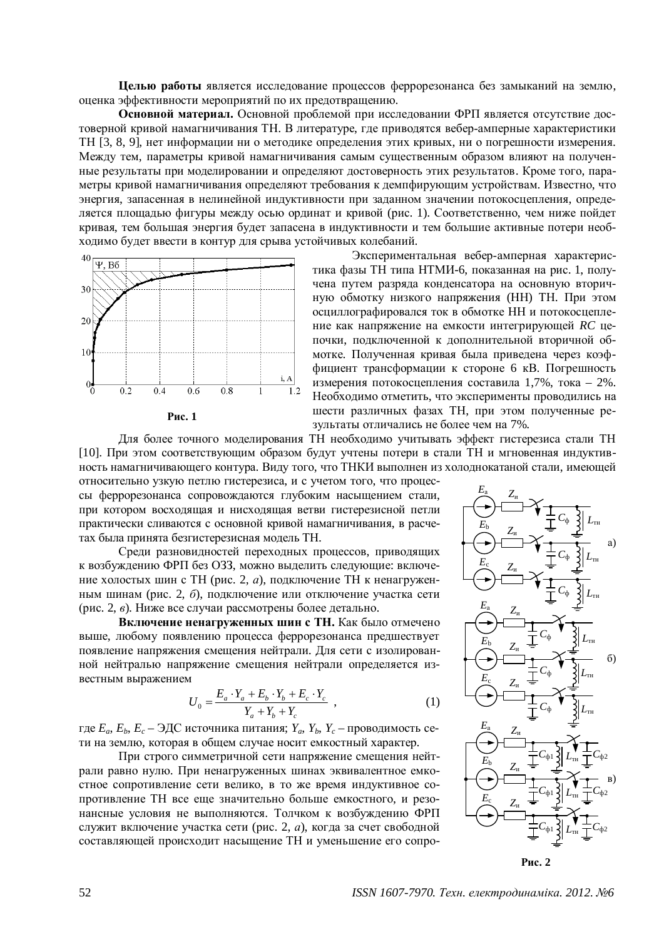Целью работы является исследование процессов феррорезонанса без замыканий на землю, оценка эффективности мероприятий по их предотвращению.

Основной материал. Основной проблемой при исследовании ФРП является отсутствие достоверной кривой намагничивания ТН. В литературе, где приводятся вебер-амперные характеристики ТН [3, 8, 9], нет информации ни о методике определения этих кривых, ни о погрешности измерения. Между тем, параметры кривой намагничивания самым существенным образом влияют на полученные результаты при моделировании и определяют достоверность этих результатов. Кроме того, параметры кривой намагничивания определяют требования к демпфирующим устройствам. Известно, что энергия, запасенная в нелинейной индуктивности при заданном значении потокосцепления, определяется площадью фигуры между осью ординат и кривой (рис. 1). Соответственно, чем ниже пойдет коивая, тем большая энергия будет запасена в индуктивности и тем большие активные потери необходимо будет ввести в контур для срыва устойчивых колебаний.





Для более точного моделирования ТН необходимо учитывать эффект гистерезиса стали ТН [10]. При этом соответствующим образом будут учтены потери в стали ТН и мгновенная индуктивность намагничивающего контура. Виду того, что ТНКИ выполнен из холоднокатаной стали, имеющей относительно узкую петлю гистерезиса, и с учетом того, что процес-

сы феррорезонанса сопровождаются глубоким насыщением стали, при котором восходящая и нисходящая ветви гистерезисной петли практически сливаются с основной кривой намагничивания, в расчетах была принята безгистерезисная модель ТН.

Среди разновидностей переходных процессов, приводящих к возбуждению ФРП без ОЗЗ, можно выделить следующие: включение холостых шин с TH (рис. 2, *а*), подключение TH к ненагруженным шинам (рис. 2, б), подключение или отключение участка сети (рис. 2, *в*). Ниже все случаи рассмотрены более детально.

**Включение ненагруженных шин с ТН.** Как было отмечено выше, любому появлению процесса феррорезонанса предшествует появление напряжения смещения нейтрали. Для сети с изолированной нейтралью напряжение смещения нейтрали определяется известным выражением

$$
U_0 = \frac{E_a \cdot Y_a + E_b \cdot Y_b + E_c \cdot Y_c}{Y_a + Y_b + Y_c} \t{,} \t(1)
$$

 $\Gamma$ де  $E_a$ ,  $E_b$ ,  $E_c$  – ЭДС источника питания;  $Y_a$ ,  $Y_b$ ,  $Y_c$  – проводимость сети на землю, которая в общем случае носит емкостный характер.

При строго симметричной сети напряжение смещения нейтрали равно нулю. При ненагруженных шинах эквивалентное емкостное сопротивление сети велико, в то же время индуктивное сопротивление ТН все еще значительно больше емкостного, и резонансные условия не выполняются. Толчком к возбуждению ФРП служит включение участка сети (рис. 2, *а*), когда за счет свободной составляющей происходит насыщение ТН и уменьшение его сопро-

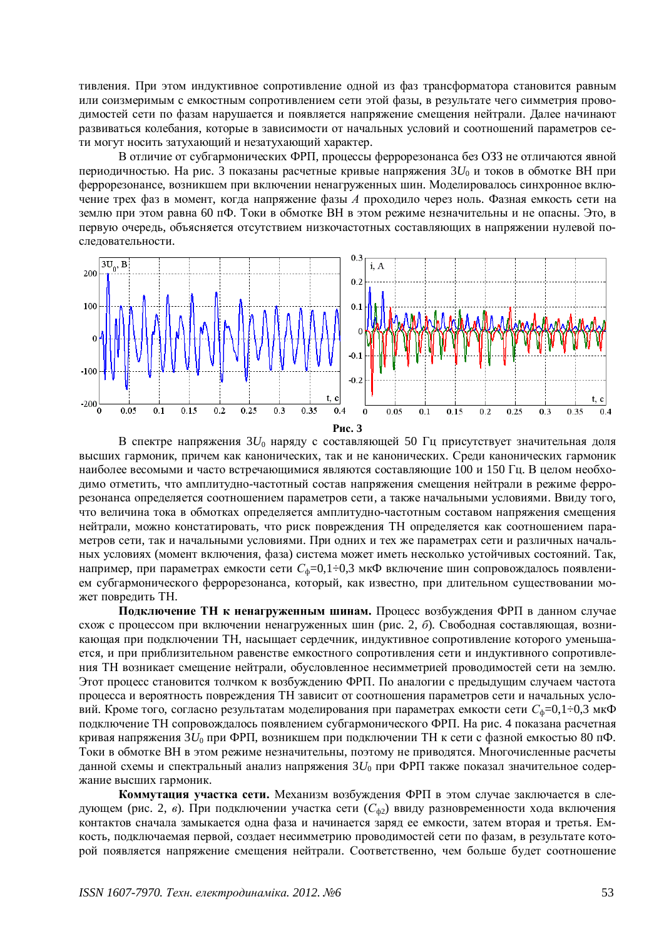тивления. При этом индуктивное сопротивление одной из фаз трансформатора становится равным или соизмеримым с емкостным сопротивлением сети этой фазы, в результате чего симметрия проводимостей сети по фазам нарушается и появляется напряжение смещения нейтрали. Далее начинают развиваться колебания, которые в зависимости от начальных условий и соотношений параметров сети могут носить затухающий и незатухающий характер.

В отличие от субгармонических ФРП, процессы феррорезонанса без ОЗЗ не отличаются явной периодичностью. На рис. 3 показаны расчетные кривые напряжения  $3U_0$  и токов в обмотке ВН при феррорезонансе, возникшем при включении ненагруженных шин. Моделировалось синхронное включение трех фаз в момент, когда напряжение фазы А проходило через ноль. Фазная емкость сети на землю при этом равна 60 пФ. Токи в обмотке ВН в этом режиме незначительны и не опасны. Это, в первую очередь, объясняется отсутствием низкочастотных составляющих в напряжении нулевой послеловательности.



В спектре напряжения 3 $U_0$  наряду с составляющей 50 Гц присутствует значительная доля высших гармоник, причем как канонических, так и не канонических. Среди канонических гармоник наиболее весомыми и часто встречающимися являются составляющие 100 и 150 Гц. В целом необходимо отметить, что амплитудно-частотный состав напряжения смещения нейтрали в режиме феррорезонанса определяется соотношением параметров сети, а также начальными условиями. Ввиду того, что величина тока в обмотках определяется амплитудно-частотным составом напряжения смещения нейтрали, можно констатировать, что риск повреждения ТН определяется как соотношением параметров сети, так и начальными условиями. При одних и тех же параметрах сети и различных начальных условиях (момент включения, фаза) система может иметь несколько устойчивых состояний. Так, например, при параметрах емкости сети  $C_{\phi}$ =0,1÷0,3 мкФ включение шин сопровождалось появлением субгармонического феррорезонанса, который, как известно, при длительном существовании может повредить ТН.

Подключение ТН к ненагруженным шинам. Процесс возбуждения ФРП в данном случае схож с процессом при включении ненагруженных шин (рис. 2, б). Свободная составляющая, возникающая при подключении ТН, насыщает сердечник, индуктивное сопротивление которого уменьшается, и при приблизительном равенстве емкостного сопротивления сети и индуктивного сопротивления ТН возникает смещение нейтрали, обусловленное несимметрией проводимостей сети на землю. Этот процесс становится толчком к возбуждению ФРП. По аналогии с предыдущим случаем частота процесса и вероятность повреждения ТН зависит от соотношения параметров сети и начальных условий. Кроме того, согласно результатам моделирования при параметрах емкости сети  $C_{\phi}=0,1\div 0,3$  мк $\Phi$ подключение ТН сопровождалось появлением субгармонического ФРП. На рис. 4 показана расчетная кривая напряжения  $3U_0$  при ФРП, возникшем при подключении ТН к сети с фазной емкостью 80 пФ. Токи в обмотке ВН в этом режиме незначительны, поэтому не приводятся. Многочисленные расчеты данной схемы и спектральный анализ напряжения  $3U_0$  при ФРП также показал значительное содержание высших гармоник.

Коммутация участка сети. Механизм возбуждения ФРП в этом случае заключается в следующем (рис. 2, *в*). При подключении участка сети ( $C_{\phi2}$ ) ввиду разновременности хода включения контактов сначала замыкается одна фаза и начинается заряд ее емкости, затем вторая и третья. Емкость, подключаемая первой, создает несимметрию проводимостей сети по фазам, в результате которой появляется напряжение смещения нейтрали. Соответственно, чем больше будет соотношение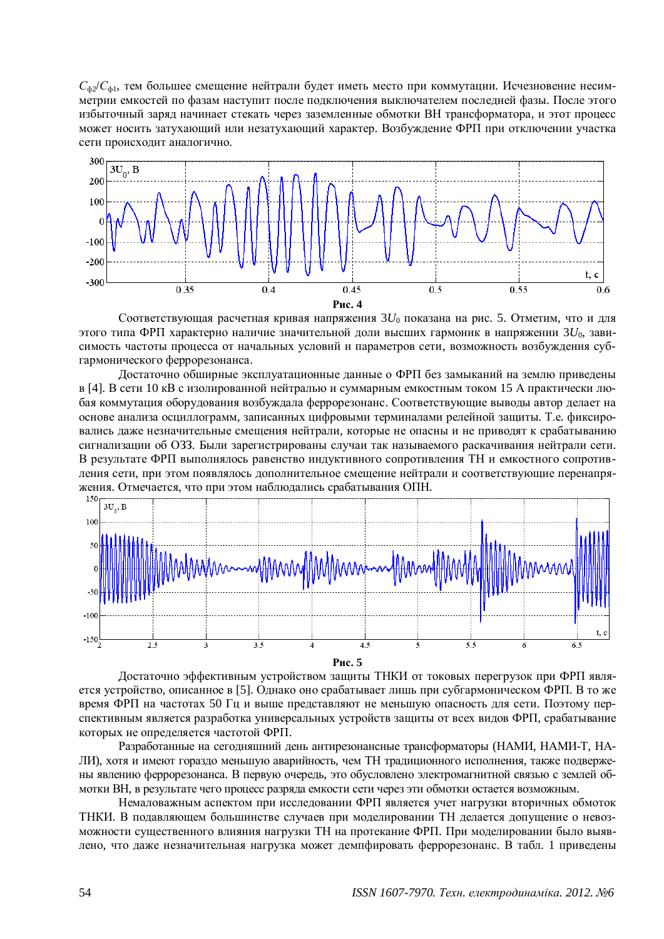$C_{\phi}$ <sup>2</sup>/ $C_{\phi}$ 1, тем большее смещение нейтрали будет иметь место при коммутации. Исчезновение несимметрии емкостей по фазам наступит после подключения выключателем последней фазы. После этого избыточный заряд начинает стекать через заземленные обмотки ВН трансформатора, и этот процесс может носить затухающий или незатухающий характер. Возбуждение ФРП при отключении участка сети происходит аналогично.



Соответствующая расчетная кривая напряжения  $3U_0$  показана на рис. 5. Отметим, что и для этого типа ФРП характерно наличие значительной доли высших гармоник в напряжении  $3U_0$ , зависимость частоты процесса от начальных условий и параметров сети, возможность возбуждения субгармонического феррорезонанса.

Достаточно обширные эксплуатационные данные о ФРП без замыканий на землю приведены в [4]. В сети 10 кВ с изолированной нейтралью и суммарным емкостным током 15 А практически любая коммутация оборудования возбуждала феррорезонанс. Соответствующие выводы автор делает на основе анализа осциллограмм, записанных цифровыми терминалами релейной защиты. Т.е. фиксировались даже незначительные смещения нейтрали, которые не опасны и не приводят к срабатыванию сигнализации об ОЗЗ. Были зарегистрированы случаи так называемого раскачивания нейтрали сети. В результате ФРП выполнялось равенство индуктивного сопротивления ТН и емкостного сопротивления сети, при этом появлялось дополнительное смещение нейтрали и соответствующие перенапряжения. Отмечается, что при этом наблюлались срабатывания ОПН.



Достаточно эффективным устройством защиты ТНКИ от токовых перегрузок при ФРП является устройство, описанное в [5]. Однако оно срабатывает лишь при субгармоническом ФРП. В то же время ФРП на частотах 50 Гц и выше представляют не меньшую опасность для сети. Поэтому перспективным является разработка универсальных устройств защиты от всех видов ФРП, срабатывание которых не определяется частотой ФРП.

Разработанные на сегодняшний день антирезонансные трансформаторы (НАМИ, НАМИ-Т, НА-ЛИ), хотя и имеют гораздо меньшую аварийность, чем ТН традиционного исполнения, также подвержены явлению феррорезонанса. В первую очередь, это обусловлено электромагнитной связью с землей обмотки ВН, в результате чего процесс разряда емкости сети через эти обмотки остается возможным.

Немаловажным аспектом при исследовании ФРП является учет нагрузки вторичных обмоток ТНКИ. В подавляющем большинстве случаев при моделировании ТН делается допущение о невозможности существенного влияния нагрузки ТН на протекание ФРП. При моделировании было выявлено, что даже незначительная нагрузка может демпфировать феррорезонанс. В табл. 1 приведены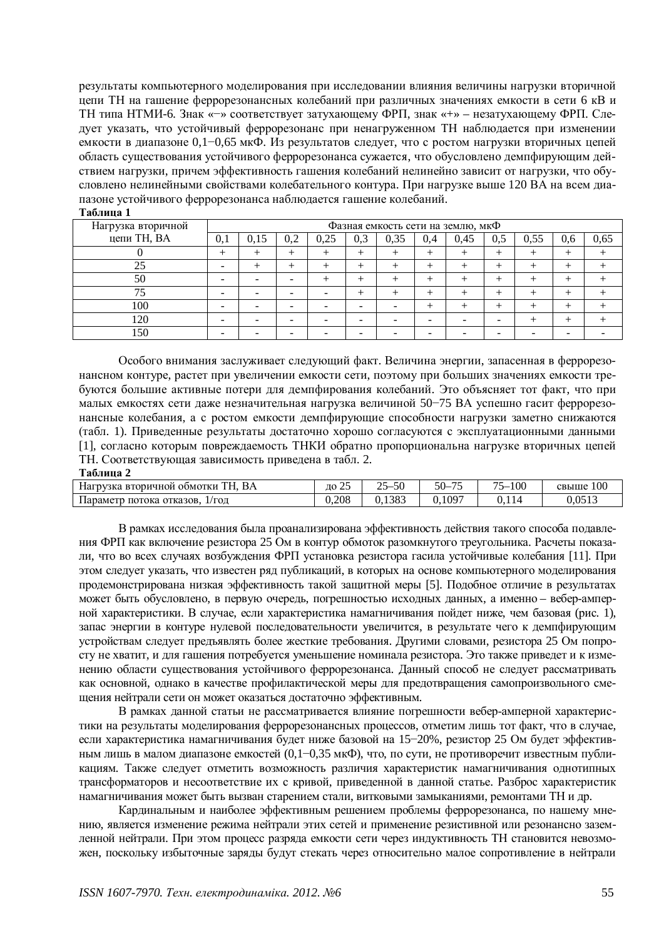результаты компьютерного моделирования при исследовании влияния величины нагрузки вторичной цепи ТН на гашение феррорезонансных колебаний при различных значениях емкости в сети 6 кВ и ТН типа НТМИ-6. Знак «-» соответствует затухающему ФРП, знак «+» - незатухающему ФРП. Следует указать, что устойчивый феррорезонанс при ненагруженном ТН наблюдается при изменении емкости в диапазоне 0,1–0,65 мкФ. Из результатов следует, что с ростом нагрузки вторичных цепей область существования устойчивого феррорезонанса сужается, что обусловлено демпфирующим действием нагрузки, причем эффективность гашения колебаний нелинейно зависит от нагрузки, что обусловлено нелинейными свойствами колебательного контура. При нагрузке выше 120 ВА на всем диапазоне устойчивого феррорезонанса наблюдается гашение колебаний.

| Нагрузка вторичной | Фазная емкость сети на землю, мкФ |      |     |      |     |      |     |      |     |      |     |      |
|--------------------|-----------------------------------|------|-----|------|-----|------|-----|------|-----|------|-----|------|
| цепи ТН, ВА        | 0,1                               | 0.15 | 0,2 | 0,25 | 0,3 | 0,35 | 0.4 | 0,45 | 0,5 | 0,55 | 0,6 | 0.65 |
|                    |                                   |      |     |      |     |      |     |      | +   |      |     |      |
| 25                 | -                                 |      |     |      |     |      |     |      |     |      |     |      |
| 50                 |                                   |      |     |      |     |      |     |      |     |      |     |      |
| 75                 |                                   |      |     |      |     |      |     |      |     |      |     |      |
| 100                |                                   |      |     |      |     |      |     |      | +   |      |     |      |
| 120                | -                                 |      |     |      | -   |      |     |      | -   |      |     |      |
| 150                |                                   |      |     |      |     |      |     |      |     |      |     |      |

 $Ta$ **блица** 1

Особого внимания заслуживает слелующий факт. Величина энергии, запасенная в феррорезонансном контуре, растет при увеличении емкости сети, поэтому при больших значениях емкости требуются большие активные потери для демпфирования колебаний. Это объясняет тот факт, что при малых емкостях сети даже незначительная нагрузка величиной 50–75 ВА успешно гасит феррорезонансные колебания, а с ростом емкости демпфирующие способности нагрузки заметно снижаются (табл. 1). Приведенные результаты достаточно хорошо согласуются с эксплуатационными данными [1], согласно которым повреждаемость ТНКИ обратно пропорциональна нагрузке вторичных цепей ТН. Соответствующая зависимость приведена в табл. 2.

#### **Таблина 2**

| T<br>BA<br>. ВТОРИЧНОЙ ООМОТКИ<br>Нагрузка                                  | $\sim$<br>ЛΩ<br><u>_</u> | $\epsilon$<br>$\sim$ $\sim$<br>$\sim$<br>∵.յւ։ | $50-$<br>$\overline{\phantom{a}}$ | --<br>100<br>$\sim$ | 100<br>свыше                        |
|-----------------------------------------------------------------------------|--------------------------|------------------------------------------------|-----------------------------------|---------------------|-------------------------------------|
| $\overline{\phantom{0}}$<br>параметр<br>$1/\Gamma$ ОД<br>отказов.<br>потока | 0.208                    | 0.1383                                         | 0.1097                            |                     | ሰ ሰሮ1 ገ<br>$J_{\bullet}U_{\bullet}$ |

В рамках исследования была проанализирована эффективность действия такого способа подавления ФРП как включение резистора 25 Ом в контур обмоток разомкнутого треугольника. Расчеты показали, что во всех случаях возбуждения ФРП установка резистора гасила устойчивые колебания [11]. При этом следует указать, что известен ряд публикаций, в которых на основе компьютерного моделирования продемонстрирована низкая эффективность такой защитной меры [5]. Подобное отличие в результатах может быть обусловлено, в первую очередь, погрешностью исходных данных, а именно - вебер-амперной характеристики. В случае, если характеристика намагничивания пойдет ниже, чем базовая (рис. 1), запас энергии в контуре нулевой последовательности увеличится, в результате чего к демпфирующим устройствам следует предъявлять более жесткие требования. Другими словами, резистора 25 Ом попросту не хватит, и для гашения потребуется уменьшение номинала резистора. Это также приведет и к изменению области существования устойчивого феррорезонанса. Данный способ не следует рассматривать как основной, однако в качестве профилактической меры для предотвращения самопроизвольного смещения нейтрали сети он может оказаться достаточно эффективным.

В рамках данной статьи не рассматривается влияние погрешности вебер-амперной характеристики на результаты моделирования феррорезонансных процессов, отметим лишь тот факт, что в случае, если характеристика намагничивания будет ниже базовой на 15–20%, резистор 25 Ом будет эффективным лишь в малом диапазоне емкостей (0,1–0,35 мкФ), что, по сути, не противоречит известным публикациям. Также следует отметить возможность различия характеристик намагничивания однотипных трансформаторов и несоответствие их с кривой, приведенной в данной статье. Разброс характеристик намагничивания может быть вызван старением стали, витковыми замыканиями, ремонтами ТН и др.

Кардинальным и наиболее эффективным решением проблемы феррорезонанса, по нашему мнению, является изменение режима нейтрали этих сетей и применение резистивной или резонансно заземленной нейтрали. При этом процесс разряда емкости сети через индуктивность ТН становится невозможен, поскольку избыточные заряды будут стекать через относительно малое сопротивление в нейтрали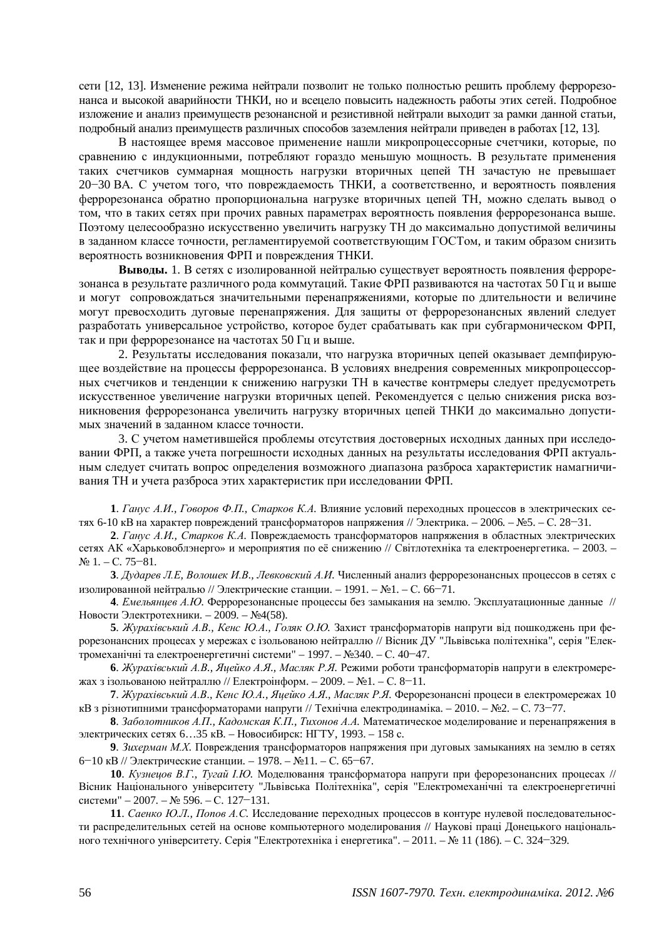сети [12, 13]. Изменение режима нейтрали позволит не только полностью решить проблему феррорезонанса и высокой аварийности ТНКИ, но и всецело повысить надежность работы этих сетей. Подробное изложение и анализ преимуществ резонансной и резистивной нейтрали выходит за рамки данной статьи, подробный анализ преимуществ различных способов заземления нейтрали приведен в работах [12, 13].

В настоящее время массовое применение нашли микропроцессорные счетчики, которые, по сравнению с индукционными, потребляют гораздо меньшую мощность. В результате применения таких счетчиков суммарная мощность нагрузки вторичных цепей ТН зачастую не превышает 20–30 ВА. С учетом того, что повреждаемость ТНКИ, а соответственно, и вероятность появления феррорезонанса обратно пропорциональна нагрузке вторичных цепей ТН, можно сделать вывод о том, что в таких сетях при прочих равных параметрах вероятность появления феррорезонанса выше. Поэтому целесообразно искусственно увеличить нагрузку ТН до максимально допустимой величины в заданном классе точности, регламентируемой соответствующим ГОСТом, и таким образом снизить вероятность возникновения ФРП и повреждения ТНКИ.

**Выводы.** 1. В сетях с изолированной нейтралью существует вероятность появления феррорезонанса в результате различного рода коммутаций. Такие ФРП развиваются на частотах 50 Гц и выше и могут сопровождаться значительными перенапряжениями, которые по длительности и величине могут превосходить дуговые перенапряжения. Для защиты от феррорезонансных явлений следует разработать универсальное устройство, которое будет срабатывать как при субгармоническом ФРП, так и при феррорезонансе на частотах 50 Гц и выше.

2. Результаты исследования показали, что нагрузка вторичных цепей оказывает демпфирующее воздействие на процессы феррорезонанса. В условиях внедрения современных микропроцессорных счетчиков и тенденции к снижению нагрузки ТН в качестве контрмеры следует предусмотреть искусственное увеличение нагрузки вторичных цепей. Рекомендуется с целью снижения риска возникновения феррорезонанса увеличить нагрузку вторичных цепей ТНКИ до максимально допустимых значений в заданном классе точности.

3. С учетом наметившейся проблемы отсутствия достоверных исходных данных при исследовании ФРП, а также учета погрешности исходных данных на результаты исследования ФРП актуальным следует считать вопрос определения возможного диапазона разброса характеристик намагничивания ТН и учета разброса этих характеристик при исследовании ФРП.

**1**. *Ганус А.И., Говоров Ф.П., Старков К.А.* Влияние условий переходных процессов в электрических сетях 6-10 кВ на характер повреждений трансформаторов напряжения // Электрика. – 2006. – №5. – С. 28–31.

2. *Ганус А.И., Старков К.А.* Повреждаемость трансформаторов напряжения в областных электрических сетях АК «Харьковоблэнерго» и мероприятия по её снижению // Світлотехніка та електроенергетика. – 2003. –  $N_2$  1. – C. 75–81.

3. Дударев Л.Е, Волошек И.В., Левковский А.И. Численный анализ феррорезонансных процессов в сетях с изолированной нейтралью // Электрические станции. – 1991. – №1. – С. 66–71.

4. *Емельянцев А.Ю.* Феррорезонансные процессы без замыкания на землю. Эксплуатационные данные // Новости Электротехники. – 2009. – №4(58).

5. Журахівський А.В., Кенс Ю.А., Голяк О.Ю. Захист трансформаторів напруги від пошкоджень при ферорезонансних процесах у мережах с ізольованою нейтраллю // Вісник ДУ "Львівська політехніка", серія "Електромеханічні та електроенергетичні системи" – 1997. – №340. – С. 40–47.

6. Журахівський А.В., Яцейко А.Я., Масляк Р.Я. Режими роботи трансформаторів напруги в електромережах з ізольованою нейтраллю // Електроінформ. – 2009. – №1. – С. 8–11.

**7**. Журахівський А.В., Кенс Ю.А., Яцейко А.Я., Масляк Р.Я. Ферорезонансні процеси в електромережах 10 кВ з різнотипними трансформаторами напруги // Технічна електродинаміка. – 2010. – №2. – С. 73–77.

8. Заболотников А.П., Кадомская К.П., Тихонов А.А. Математическое моделирование и перенапряжения в электрических сетях 6...35 кВ. – Новосибирск: НГТУ, 1993. – 158 с.

**9**. Зихерман М.Х. Повреждения трансформаторов напряжения при дуговых замыканиях на землю в сетях 6–10 кВ // Электрические станции. – 1978. – №11. – С. 65–67.

**10**. *Кузнецов В.Г., Тугай І.Ю*. Моделювання трансформатора напруги при ферорезонансних процесах // Вісник Національного університету "Львівська Політехніка", серія "Електромеханічні та електроенергетичні  $C \text{H}$ <sub>c</sub> Hercentr<sup>-1</sup> – 2007. –  $\text{N}_2$  596. – C. 127–131.

11. Саенко Ю.Л., Попов А.С. Исследование переходных процессов в контуре нулевой последовательности распределительных сетей на основе компьютерного моделирования // Наукові праці Донецького національного технічного університету. Серія "Електротехніка і енергетика". - 2011. - № 11 (186). - С. 324-329.